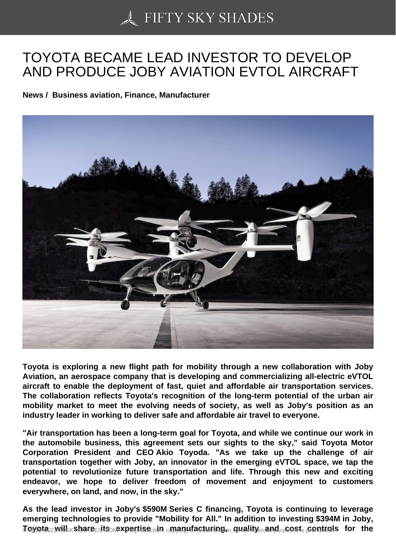## [TOYOTA BECAME LE](https://50skyshades.com)AD INVESTOR TO DEVELOP AND PRODUCE JOBY AVIATION EVTOL AIRCRAFT

News / Business aviation, Finance, Manufacturer

Toyota is exploring a new flight path for mobility through a new collaboration with Joby Aviation, an aerospace company that is developing and commercializing all-electric eVTOL aircraft to enable the deployment of fast, quiet and affordable air transportation services. The collaboration reflects Toyota's recognition of the long-term potential of the urban air mobility market to meet the evolving needs of society, as well as Joby's position as an industry leader in working to deliver safe and affordable air travel to everyone.

"Air transportation has been a long-term goal for Toyota, and while we continue our work in the automobile business, this agreement sets our sights to the sky," said Toyota Motor Corporation President and CEO Akio Toyoda. "As we take up the challenge of air transportation together with Joby, an innovator in the emerging eVTOL space, we tap the potential to revolutionize future transportation and life. Through this new and exciting endeavor, we hope to deliver freedom of movement and enjoyment to customers everywhere, on land, and now, in the sky."

As the lead investor in Joby's \$590M Series C financing, Toyota is continuing to leverage emerging technologies to provide "Mobility for All." In addition to investing \$394M in Joby,  $\overline{\delta}$ OVO $t$ a owill share pits coxpertise diction manufacturing,  $\overline{\delta}$  and ity commercial purposes it of shifted. The  $\overline{\delta}$